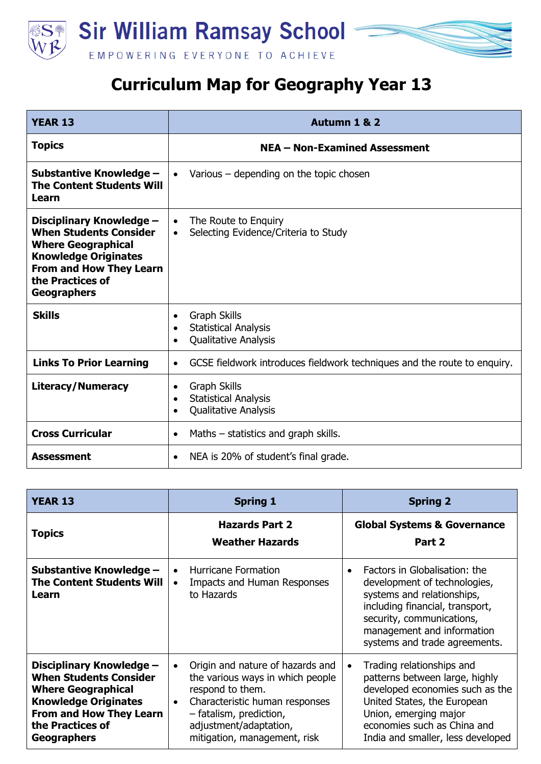

## **Curriculum Map for Geography Year 13**

| <b>YEAR 13</b>                                                                                                                                                                                    | Autumn 1 & 2                                                                                                             |
|---------------------------------------------------------------------------------------------------------------------------------------------------------------------------------------------------|--------------------------------------------------------------------------------------------------------------------------|
| <b>Topics</b>                                                                                                                                                                                     | NEA - Non-Examined Assessment                                                                                            |
| Substantive Knowledge -<br><b>The Content Students Will</b><br>Learn                                                                                                                              | Various $-$ depending on the topic chosen<br>$\bullet$                                                                   |
| Disciplinary Knowledge -<br><b>When Students Consider</b><br><b>Where Geographical</b><br><b>Knowledge Originates</b><br><b>From and How They Learn</b><br>the Practices of<br><b>Geographers</b> | The Route to Enguiry<br>$\bullet$<br>Selecting Evidence/Criteria to Study<br>$\bullet$                                   |
| <b>Skills</b>                                                                                                                                                                                     | <b>Graph Skills</b><br>$\bullet$<br><b>Statistical Analysis</b><br>$\bullet$<br>Qualitative Analysis<br>$\bullet$        |
| <b>Links To Prior Learning</b>                                                                                                                                                                    | GCSE fieldwork introduces fieldwork techniques and the route to enquiry.<br>$\bullet$                                    |
| <b>Literacy/Numeracy</b>                                                                                                                                                                          | <b>Graph Skills</b><br>$\bullet$<br><b>Statistical Analysis</b><br>$\bullet$<br><b>Qualitative Analysis</b><br>$\bullet$ |
| <b>Cross Curricular</b>                                                                                                                                                                           | Maths $-$ statistics and graph skills.<br>$\bullet$                                                                      |
| Assessment                                                                                                                                                                                        | NEA is 20% of student's final grade.<br>$\bullet$                                                                        |

| <b>YEAR 13</b>                                                                                                                                                                                    | <b>Spring 1</b>                                                                                                                                                                                                              | <b>Spring 2</b>                                                                                                                                                                                                            |
|---------------------------------------------------------------------------------------------------------------------------------------------------------------------------------------------------|------------------------------------------------------------------------------------------------------------------------------------------------------------------------------------------------------------------------------|----------------------------------------------------------------------------------------------------------------------------------------------------------------------------------------------------------------------------|
| <b>Topics</b>                                                                                                                                                                                     | <b>Hazards Part 2</b><br><b>Weather Hazards</b>                                                                                                                                                                              | <b>Global Systems &amp; Governance</b><br>Part 2                                                                                                                                                                           |
| Substantive Knowledge -<br><b>The Content Students Will</b><br>Learn                                                                                                                              | <b>Hurricane Formation</b><br>Impacts and Human Responses<br>to Hazards                                                                                                                                                      | Factors in Globalisation: the<br>development of technologies,<br>systems and relationships,<br>including financial, transport,<br>security, communications,<br>management and information<br>systems and trade agreements. |
| Disciplinary Knowledge -<br><b>When Students Consider</b><br><b>Where Geographical</b><br><b>Knowledge Originates</b><br><b>From and How They Learn</b><br>the Practices of<br><b>Geographers</b> | Origin and nature of hazards and<br>the various ways in which people<br>respond to them.<br>Characteristic human responses<br>$\bullet$<br>- fatalism, prediction,<br>adjustment/adaptation,<br>mitigation, management, risk | Trading relationships and<br>patterns between large, highly<br>developed economies such as the<br>United States, the European<br>Union, emerging major<br>economies such as China and<br>India and smaller, less developed |